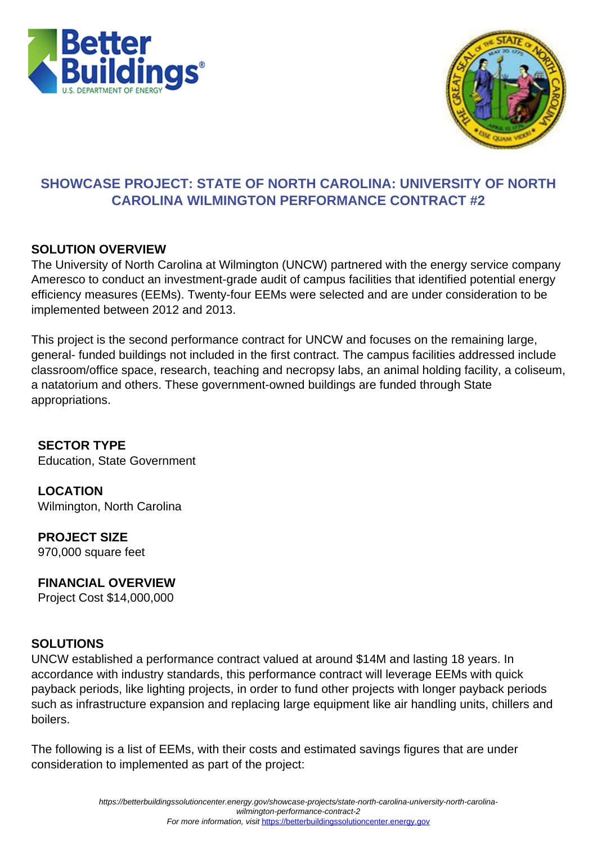



# **SHOWCASE PROJECT: STATE OF NORTH CAROLINA: UNIVERSITY OF NORTH CAROLINA WILMINGTON PERFORMANCE CONTRACT #2**

## **SOLUTION OVERVIEW**

The University of North Carolina at Wilmington (UNCW) partnered with the energy service company Ameresco to conduct an investment-grade audit of campus facilities that identified potential energy efficiency measures (EEMs). Twenty-four EEMs were selected and are under consideration to be implemented between 2012 and 2013.

This project is the second performance contract for UNCW and focuses on the remaining large, general- funded buildings not included in the first contract. The campus facilities addressed include classroom/office space, research, teaching and necropsy labs, an animal holding facility, a coliseum, a natatorium and others. These government-owned buildings are funded through State appropriations.

**SECTOR TYPE** Education, State Government

**LOCATION** Wilmington, North Carolina

**PROJECT SIZE** 970,000 square feet

## **FINANCIAL OVERVIEW**

Project Cost \$14,000,000

## **SOLUTIONS**

UNCW established a performance contract valued at around \$14M and lasting 18 years. In accordance with industry standards, this performance contract will leverage EEMs with quick payback periods, like lighting projects, in order to fund other projects with longer payback periods such as infrastructure expansion and replacing large equipment like air handling units, chillers and boilers.

The following is a list of EEMs, with their costs and estimated savings figures that are under consideration to implemented as part of the project: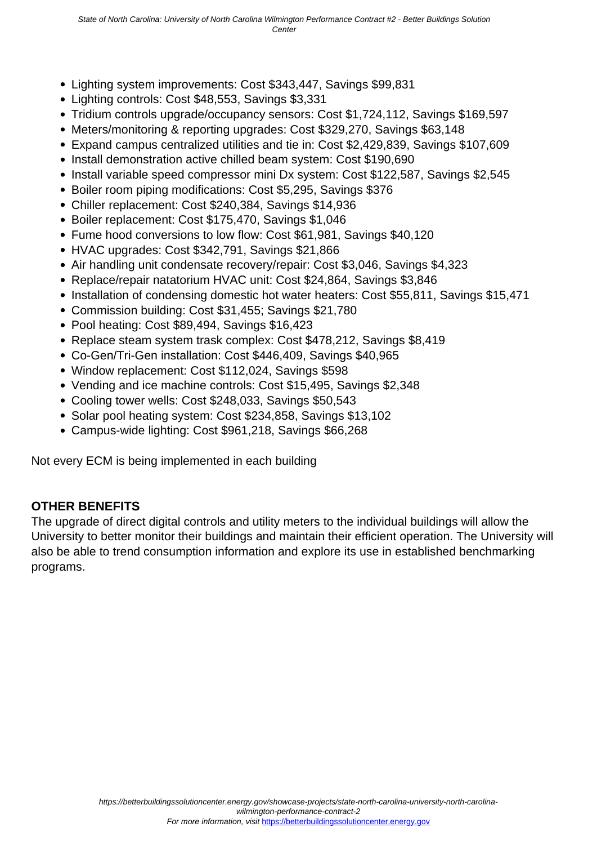- Lighting system improvements: Cost \$343,447, Savings \$99,831
- Lighting controls: Cost \$48,553, Savings \$3,331
- Tridium controls upgrade/occupancy sensors: Cost \$1,724,112, Savings \$169,597
- Meters/monitoring & reporting upgrades: Cost \$329,270, Savings \$63,148
- Expand campus centralized utilities and tie in: Cost \$2,429,839, Savings \$107,609
- Install demonstration active chilled beam system: Cost \$190,690
- Install variable speed compressor mini Dx system: Cost \$122,587, Savings \$2,545
- Boiler room piping modifications: Cost \$5,295, Savings \$376
- Chiller replacement: Cost \$240,384, Savings \$14,936
- Boiler replacement: Cost \$175,470, Savings \$1,046
- Fume hood conversions to low flow: Cost \$61,981, Savings \$40,120
- HVAC upgrades: Cost \$342,791, Savings \$21,866
- Air handling unit condensate recovery/repair: Cost \$3,046, Savings \$4,323
- Replace/repair natatorium HVAC unit: Cost \$24,864, Savings \$3,846
- Installation of condensing domestic hot water heaters: Cost \$55,811, Savings \$15,471
- Commission building: Cost \$31,455; Savings \$21,780
- Pool heating: Cost \$89,494, Savings \$16,423
- Replace steam system trask complex: Cost \$478,212, Savings \$8,419
- Co-Gen/Tri-Gen installation: Cost \$446,409, Savings \$40,965
- Window replacement: Cost \$112,024, Savings \$598
- Vending and ice machine controls: Cost \$15,495, Savings \$2,348
- Cooling tower wells: Cost \$248,033, Savings \$50,543
- Solar pool heating system: Cost \$234,858, Savings \$13,102
- Campus-wide lighting: Cost \$961,218, Savings \$66,268

Not every ECM is being implemented in each building

### **OTHER BENEFITS**

The upgrade of direct digital controls and utility meters to the individual buildings will allow the University to better monitor their buildings and maintain their efficient operation. The University will also be able to trend consumption information and explore its use in established benchmarking programs.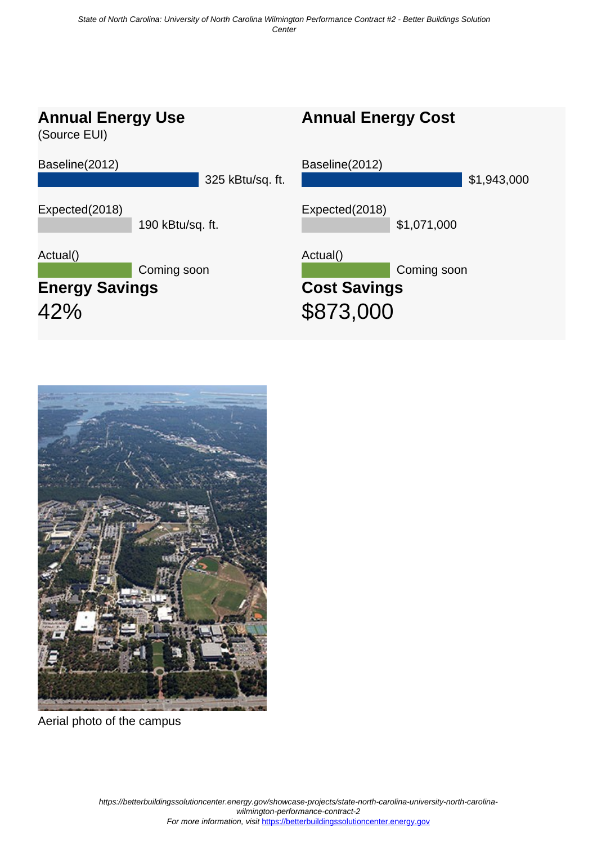



Aerial photo of the campus